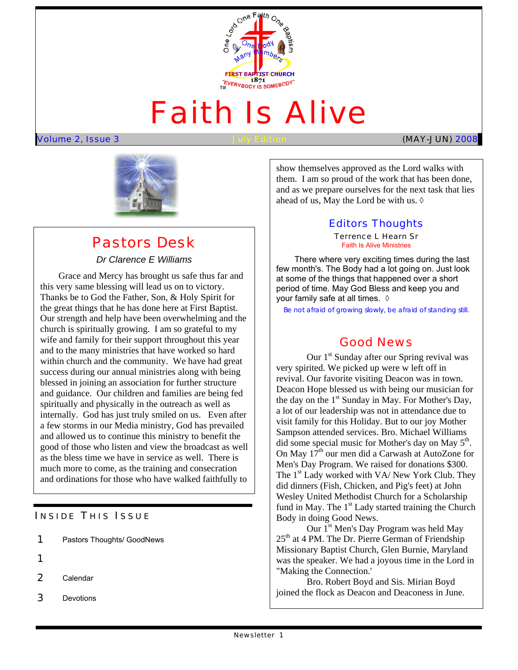

# Faith Is Alive

Volume 2, Issue 3 July Edition (MAY-JUN) 2008



## Pastors Desk

#### *Dr Clarence E Williams*

 Our strength and help have been overwhelming and the Grace and Mercy has brought us safe thus far and this very same blessing will lead us on to victory. Thanks be to God the Father, Son, & Holy Spirit for the great things that he has done here at First Baptist. church is spiritually growing. I am so grateful to my wife and family for their support throughout this year and to the many ministries that have worked so hard within church and the community. We have had great success during our annual ministries along with being blessed in joining an association for further structure and guidance. Our children and families are being fed spiritually and physically in the outreach as well as internally. God has just truly smiled on us. Even after a few storms in our Media ministry, God has prevailed and allowed us to continue this ministry to benefit the good of those who listen and view the broadcast as well as the bless time we have in service as well. There is much more to come, as the training and consecration and ordinations for those who have walked faithfully to

#### **INSIDE THIS ISSUE**

| 1 |  | Pastors Thoughts/ GoodNews |
|---|--|----------------------------|
|   |  |                            |

- 1
- 2 Calendar
- 3 Devotions

show themselves approved as the Lord walks with them. I am so proud of the work that has been done, and as we prepare ourselves for the next task that lies ahead of us, May the Lord be with us.  $\Diamond$ 

#### Editors Thoughts

Terrence L Hearn Sr Faith Is Alive Ministries

There where very exciting times during the last few month's. The Body had a lot going on. Just look at some of the things that happened over a short period of time. May God Bless and keep you and your family safe at all times.  $\Diamond$ 

*Be not afraid of growing slowly, be afraid of standing still.* 

## Good News

Our  $1<sup>st</sup>$  Sunday after our Spring revival was very spirited. We picked up were w left off in revival. Our favorite visiting Deacon was in town. Deacon Hope blessed us with being our musician for the day on the  $1<sup>st</sup>$  Sunday in May. For Mother's Day, a lot of our leadership was not in attendance due to visit family for this Holiday. But to our joy Mother Sampson attended services. Bro. Michael Williams did some special music for Mother's day on May 5<sup>th</sup>. On May  $17<sup>th</sup>$  our men did a Carwash at AutoZone for Men's Day Program. We raised for donations \$300. The  $1<sup>st</sup>$  Lady worked with VA/ New York Club. They did dinners (Fish, Chicken, and Pig's feet) at John Wesley United Methodist Church for a Scholarship fund in May. The  $1<sup>st</sup>$  Lady started training the Church Body in doing Good News.

 Missionary Baptist Church, Glen Burnie, Maryland Our 1<sup>st</sup> Men's Day Program was held May  $25<sup>th</sup>$  at 4 PM. The Dr. Pierre German of Friendship was the speaker. We had a joyous time in the Lord in "Making the Connection.'

Bro. Robert Boyd and Sis. Mirian Boyd joined the flock as Deacon and Deaconess in June.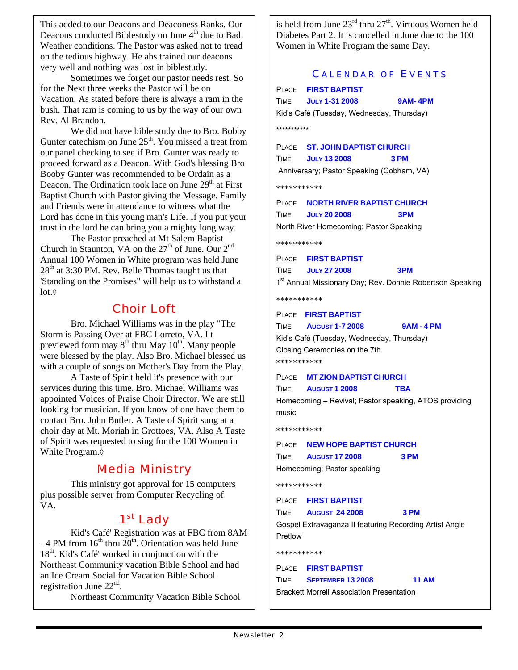This added to our Deacons and Deaconess Ranks. Our Deacons conducted Biblestudy on June 4<sup>th</sup> due to Bad Weather conditions. The Pastor was asked not to tread on the tedious highway. He ahs trained our deacons very well and nothing was lost in biblestudy.

Sometimes we forget our pastor needs rest. So for the Next three weeks the Pastor will be on Vacation. As stated before there is always a ram in the bush. That ram is coming to us by the way of our own Rev. Al Brandon.

We did not have bible study due to Bro. Bobby Gunter catechism on June  $25<sup>th</sup>$ . You missed a treat from our panel checking to see if Bro. Gunter was ready to proceed forward as a Deacon. With God's blessing Bro Booby Gunter was recommended to be Ordain as a Deacon. The Ordination took lace on June  $29<sup>th</sup>$  at First Baptist Church with Pastor giving the Message. Family and Friends were in attendance to witness what the Lord has done in this young man's Life. If you put your trust in the lord he can bring you a mighty long way.

The Pastor preached at Mt Salem Baptist Church in Staunton, VA on the  $27<sup>th</sup>$  of June. Our  $2<sup>nd</sup>$ Annual 100 Women in White program was held June  $28<sup>th</sup>$  at 3:30 PM. Rev. Belle Thomas taught us that 'Standing on the Promises" will help us to withstand a lot.◊

## Choir Loft

Bro. Michael Williams was in the play "The Storm is Passing Over at FBC Lorreto, VA. I t previewed form may  $8<sup>th</sup>$  thru May  $10<sup>th</sup>$ . Many people were blessed by the play. Also Bro. Michael blessed us with a couple of songs on Mother's Day from the Play.

A Taste of Spirit held it's presence with our services during this time. Bro. Michael Williams was appointed Voices of Praise Choir Director. We are still looking for musician. If you know of one have them to contact Bro. John Butler. A Taste of Spirit sung at a choir day at Mt. Moriah in Grottoes, VA. Also A Taste of Spirit was requested to sing for the 100 Women in White Program.◊

## Media Ministry

This ministry got approval for 15 computers plus possible server from Computer Recycling of VA.

## 1<sup>st</sup> Lady

Kid's Café' Registration was at FBC from 8AM - 4 PM from  $16<sup>th</sup>$  thru  $20<sup>th</sup>$ . Orientation was held June  $18<sup>th</sup>$ . Kid's Café' worked in conjunction with the Northeast Community vacation Bible School and had an Ice Cream Social for Vacation Bible School registration June  $22<sup>nd</sup>$ .

Northeast Community Vacation Bible School

is held from June  $23<sup>rd</sup>$  thru  $27<sup>th</sup>$ . Virtuous Women held Diabetes Part 2. It is cancelled in June due to the 100 Women in White Program the same Day.

#### CALENDAR OF EVENTS

|                                                       | PLACE FIRST BAPTIST                                       |  |  |
|-------------------------------------------------------|-----------------------------------------------------------|--|--|
| <b>TIME</b>                                           | <b>JULY 1-31 2008</b><br>9AM-4PM                          |  |  |
|                                                       | Kid's Café (Tuesday, Wednesday, Thursday)                 |  |  |
| ***********                                           |                                                           |  |  |
|                                                       | PLACE <b>ST. JOHN BAPTIST CHURCH</b>                      |  |  |
|                                                       | <b>TIME JULY 13 2008</b><br>3 PM                          |  |  |
|                                                       | Anniversary; Pastor Speaking (Cobham, VA)                 |  |  |
| ***********                                           |                                                           |  |  |
|                                                       | PLACE <b>NORTH RIVER BAPTIST CHURCH</b>                   |  |  |
|                                                       | TIME JULY 20 2008<br>3PM                                  |  |  |
|                                                       | North River Homecoming; Pastor Speaking                   |  |  |
| ***********                                           |                                                           |  |  |
|                                                       | PLACE <b>FIRST BAPTIST</b>                                |  |  |
| TIME                                                  | 3PM<br><b>JULY 27 2008</b>                                |  |  |
|                                                       | 1st Annual Missionary Day; Rev. Donnie Robertson Speaking |  |  |
| ***********                                           |                                                           |  |  |
|                                                       | PLACE FIRST BAPTIST                                       |  |  |
|                                                       | TIME AUGUST 1-7 2008<br><b>9AM - 4 PM</b>                 |  |  |
|                                                       | Kid's Café (Tuesday, Wednesday, Thursday)                 |  |  |
|                                                       | Closing Ceremonies on the 7th                             |  |  |
| ***********                                           |                                                           |  |  |
|                                                       | PLACE MT ZION BAPTIST CHURCH                              |  |  |
| <b>TIME</b>                                           | <b>AUGUST 1 2008</b><br>TBA                               |  |  |
| Homecoming - Revival; Pastor speaking, ATOS providing |                                                           |  |  |
| music                                                 |                                                           |  |  |
| ***********                                           |                                                           |  |  |
|                                                       | PLACE NEW HOPE BAPTIST CHURCH                             |  |  |
| TIME                                                  | <b>August 17 2008</b><br>3 PM                             |  |  |
|                                                       | Homecoming; Pastor speaking                               |  |  |
| ***********                                           |                                                           |  |  |
|                                                       | PLACE FIRST BAPTIST                                       |  |  |
|                                                       | <b>TIME AUGUST 24 2008</b><br>3 PM                        |  |  |
|                                                       | Gospel Extravaganza II featuring Recording Artist Angie   |  |  |
| Pretlow                                               |                                                           |  |  |
| ***********                                           |                                                           |  |  |
|                                                       | PLACE <b>FIRST BAPTIST</b>                                |  |  |
| TIME                                                  | <b>11 AM</b><br><b>SEPTEMBER 13 2008</b>                  |  |  |
|                                                       | <b>Brackett Morrell Association Presentation</b>          |  |  |